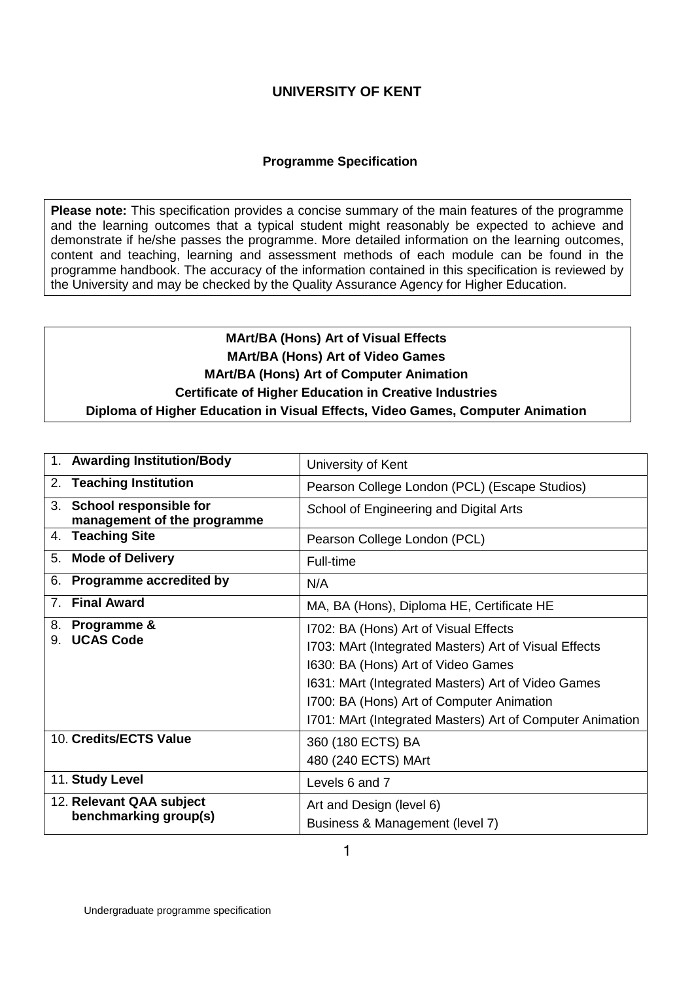## **Programme Specification**

**Please note:** This specification provides a concise summary of the main features of the programme and the learning outcomes that a typical student might reasonably be expected to achieve and demonstrate if he/she passes the programme. More detailed information on the learning outcomes, content and teaching, learning and assessment methods of each module can be found in the programme handbook. The accuracy of the information contained in this specification is reviewed by the University and may be checked by the Quality Assurance Agency for Higher Education.

# **MArt/BA (Hons) Art of Visual Effects MArt/BA (Hons) Art of Video Games MArt/BA (Hons) Art of Computer Animation Certificate of Higher Education in Creative Industries Diploma of Higher Education in Visual Effects, Video Games, Computer Animation**

|                                                   | 1. Awarding Institution/Body                             | University of Kent                                                                                                                                                                                                                                                                                   |  |  |
|---------------------------------------------------|----------------------------------------------------------|------------------------------------------------------------------------------------------------------------------------------------------------------------------------------------------------------------------------------------------------------------------------------------------------------|--|--|
|                                                   | 2. Teaching Institution                                  | Pearson College London (PCL) (Escape Studios)                                                                                                                                                                                                                                                        |  |  |
|                                                   | 3. School responsible for<br>management of the programme | School of Engineering and Digital Arts                                                                                                                                                                                                                                                               |  |  |
|                                                   | 4. Teaching Site                                         | Pearson College London (PCL)                                                                                                                                                                                                                                                                         |  |  |
|                                                   | 5. Mode of Delivery                                      | Full-time                                                                                                                                                                                                                                                                                            |  |  |
|                                                   | 6. Programme accredited by                               | N/A                                                                                                                                                                                                                                                                                                  |  |  |
|                                                   | 7. Final Award                                           | MA, BA (Hons), Diploma HE, Certificate HE                                                                                                                                                                                                                                                            |  |  |
| 9.                                                | 8. Programme &<br><b>UCAS Code</b>                       | 1702: BA (Hons) Art of Visual Effects<br>1703: MArt (Integrated Masters) Art of Visual Effects<br>1630: BA (Hons) Art of Video Games<br>1631: MArt (Integrated Masters) Art of Video Games<br>1700: BA (Hons) Art of Computer Animation<br>1701: MArt (Integrated Masters) Art of Computer Animation |  |  |
|                                                   | 10. Credits/ECTS Value                                   | 360 (180 ECTS) BA<br>480 (240 ECTS) MArt                                                                                                                                                                                                                                                             |  |  |
|                                                   | 11. Study Level                                          | Levels 6 and 7                                                                                                                                                                                                                                                                                       |  |  |
| 12. Relevant QAA subject<br>benchmarking group(s) |                                                          | Art and Design (level 6)<br>Business & Management (level 7)                                                                                                                                                                                                                                          |  |  |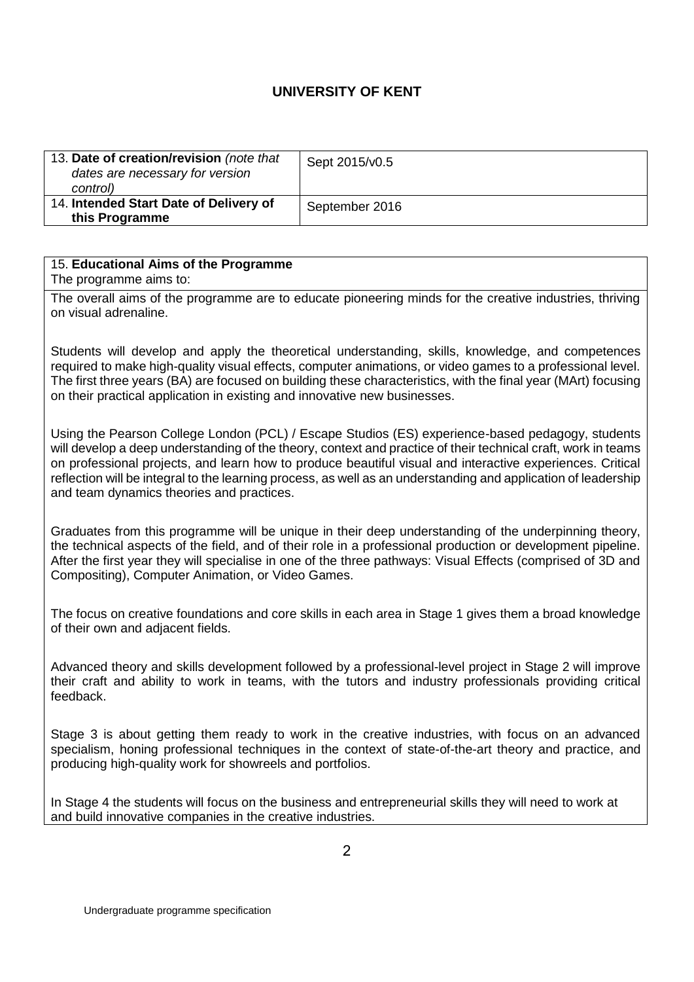| 13. Date of creation/revision (note that<br>dates are necessary for version<br>control) | Sept 2015/v0.5 |
|-----------------------------------------------------------------------------------------|----------------|
| 14. Intended Start Date of Delivery of<br>this Programme                                | September 2016 |

#### 15. **Educational Aims of the Programme**

The programme aims to:

The overall aims of the programme are to educate pioneering minds for the creative industries, thriving on visual adrenaline.

Students will develop and apply the theoretical understanding, skills, knowledge, and competences required to make high-quality visual effects, computer animations, or video games to a professional level. The first three years (BA) are focused on building these characteristics, with the final year (MArt) focusing on their practical application in existing and innovative new businesses.

Using the Pearson College London (PCL) / Escape Studios (ES) experience-based pedagogy, students will develop a deep understanding of the theory, context and practice of their technical craft, work in teams on professional projects, and learn how to produce beautiful visual and interactive experiences. Critical reflection will be integral to the learning process, as well as an understanding and application of leadership and team dynamics theories and practices.

Graduates from this programme will be unique in their deep understanding of the underpinning theory, the technical aspects of the field, and of their role in a professional production or development pipeline. After the first year they will specialise in one of the three pathways: Visual Effects (comprised of 3D and Compositing), Computer Animation, or Video Games.

The focus on creative foundations and core skills in each area in Stage 1 gives them a broad knowledge of their own and adjacent fields.

Advanced theory and skills development followed by a professional-level project in Stage 2 will improve their craft and ability to work in teams, with the tutors and industry professionals providing critical feedback.

Stage 3 is about getting them ready to work in the creative industries, with focus on an advanced specialism, honing professional techniques in the context of state-of-the-art theory and practice, and producing high-quality work for showreels and portfolios.

In Stage 4 the students will focus on the business and entrepreneurial skills they will need to work at and build innovative companies in the creative industries.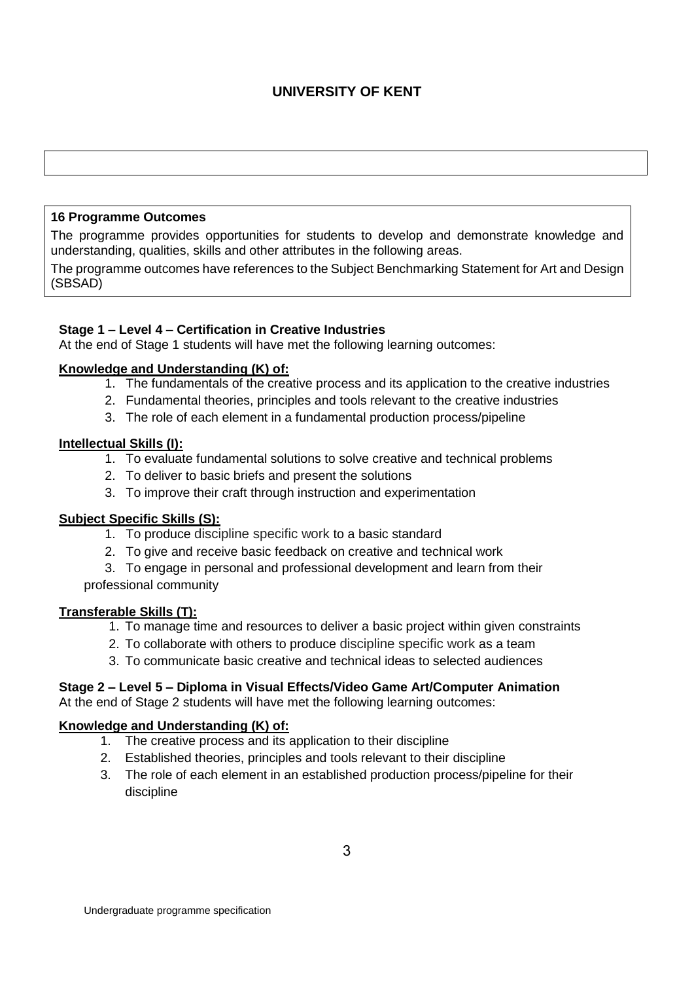### **16 Programme Outcomes**

The programme provides opportunities for students to develop and demonstrate knowledge and understanding, qualities, skills and other attributes in the following areas.

The programme outcomes have references to the Subject Benchmarking Statement for Art and Design (SBSAD)

#### **Stage 1 – Level 4 – Certification in Creative Industries**

At the end of Stage 1 students will have met the following learning outcomes:

#### **Knowledge and Understanding (K) of:**

- 1. The fundamentals of the creative process and its application to the creative industries
- 2. Fundamental theories, principles and tools relevant to the creative industries
- 3. The role of each element in a fundamental production process/pipeline

#### **Intellectual Skills (I):**

- 1. To evaluate fundamental solutions to solve creative and technical problems
- 2. To deliver to basic briefs and present the solutions
- 3. To improve their craft through instruction and experimentation

### **Subject Specific Skills (S):**

- 1. To produce discipline specific work to a basic standard
- 2. To give and receive basic feedback on creative and technical work
- 3. To engage in personal and professional development and learn from their professional community

#### **Transferable Skills (T):**

- 1. To manage time and resources to deliver a basic project within given constraints
- 2. To collaborate with others to produce discipline specific work as a team
- 3. To communicate basic creative and technical ideas to selected audiences

# **Stage 2 – Level 5 – Diploma in Visual Effects/Video Game Art/Computer Animation**

At the end of Stage 2 students will have met the following learning outcomes:

### **Knowledge and Understanding (K) of:**

- 1. The creative process and its application to their discipline
- 2. Established theories, principles and tools relevant to their discipline
- 3. The role of each element in an established production process/pipeline for their discipline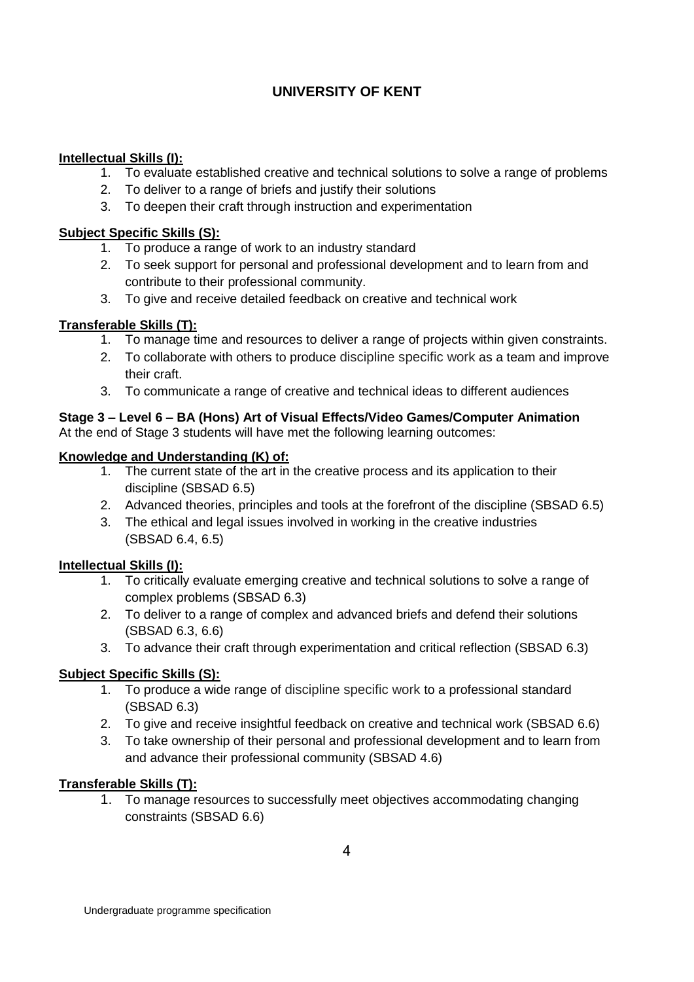## **Intellectual Skills (I):**

- 1. To evaluate established creative and technical solutions to solve a range of problems
- 2. To deliver to a range of briefs and justify their solutions
- 3. To deepen their craft through instruction and experimentation

## **Subject Specific Skills (S):**

- 1. To produce a range of work to an industry standard
- 2. To seek support for personal and professional development and to learn from and contribute to their professional community.
- 3. To give and receive detailed feedback on creative and technical work

## **Transferable Skills (T):**

- 1. To manage time and resources to deliver a range of projects within given constraints.
- 2. To collaborate with others to produce discipline specific work as a team and improve their craft.
- 3. To communicate a range of creative and technical ideas to different audiences

## **Stage 3 – Level 6 – BA (Hons) Art of Visual Effects/Video Games/Computer Animation** At the end of Stage 3 students will have met the following learning outcomes:

## **Knowledge and Understanding (K) of:**

- 1. The current state of the art in the creative process and its application to their discipline (SBSAD 6.5)
- 2. Advanced theories, principles and tools at the forefront of the discipline (SBSAD 6.5)
- 3. The ethical and legal issues involved in working in the creative industries (SBSAD 6.4, 6.5)

## **Intellectual Skills (I):**

- 1. To critically evaluate emerging creative and technical solutions to solve a range of complex problems (SBSAD 6.3)
- 2. To deliver to a range of complex and advanced briefs and defend their solutions (SBSAD 6.3, 6.6)
- 3. To advance their craft through experimentation and critical reflection (SBSAD 6.3)

## **Subject Specific Skills (S):**

- 1. To produce a wide range of discipline specific work to a professional standard (SBSAD 6.3)
- 2. To give and receive insightful feedback on creative and technical work (SBSAD 6.6)
- 3. To take ownership of their personal and professional development and to learn from and advance their professional community (SBSAD 4.6)

## **Transferable Skills (T):**

1. To manage resources to successfully meet objectives accommodating changing constraints (SBSAD 6.6)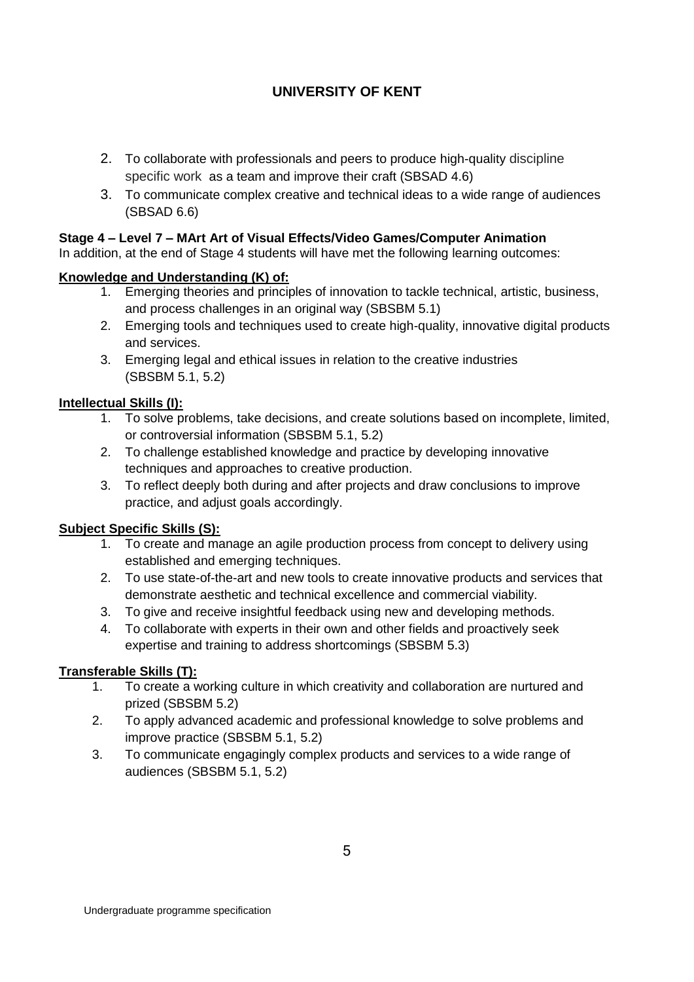- 2. To collaborate with professionals and peers to produce high-quality discipline specific work as a team and improve their craft (SBSAD 4.6)
- 3. To communicate complex creative and technical ideas to a wide range of audiences (SBSAD 6.6)

## **Stage 4 – Level 7 – MArt Art of Visual Effects/Video Games/Computer Animation**

In addition, at the end of Stage 4 students will have met the following learning outcomes:

## **Knowledge and Understanding (K) of:**

- 1. Emerging theories and principles of innovation to tackle technical, artistic, business, and process challenges in an original way (SBSBM 5.1)
- 2. Emerging tools and techniques used to create high-quality, innovative digital products and services.
- 3. Emerging legal and ethical issues in relation to the creative industries (SBSBM 5.1, 5.2)

## **Intellectual Skills (I):**

- 1. To solve problems, take decisions, and create solutions based on incomplete, limited, or controversial information (SBSBM 5.1, 5.2)
- 2. To challenge established knowledge and practice by developing innovative techniques and approaches to creative production.
- 3. To reflect deeply both during and after projects and draw conclusions to improve practice, and adjust goals accordingly.

## **Subject Specific Skills (S):**

- 1. To create and manage an agile production process from concept to delivery using established and emerging techniques.
- 2. To use state-of-the-art and new tools to create innovative products and services that demonstrate aesthetic and technical excellence and commercial viability.
- 3. To give and receive insightful feedback using new and developing methods.
- 4. To collaborate with experts in their own and other fields and proactively seek expertise and training to address shortcomings (SBSBM 5.3)

## **Transferable Skills (T):**

- 1. To create a working culture in which creativity and collaboration are nurtured and prized (SBSBM 5.2)
- 2. To apply advanced academic and professional knowledge to solve problems and improve practice (SBSBM 5.1, 5.2)
- 3. To communicate engagingly complex products and services to a wide range of audiences (SBSBM 5.1, 5.2)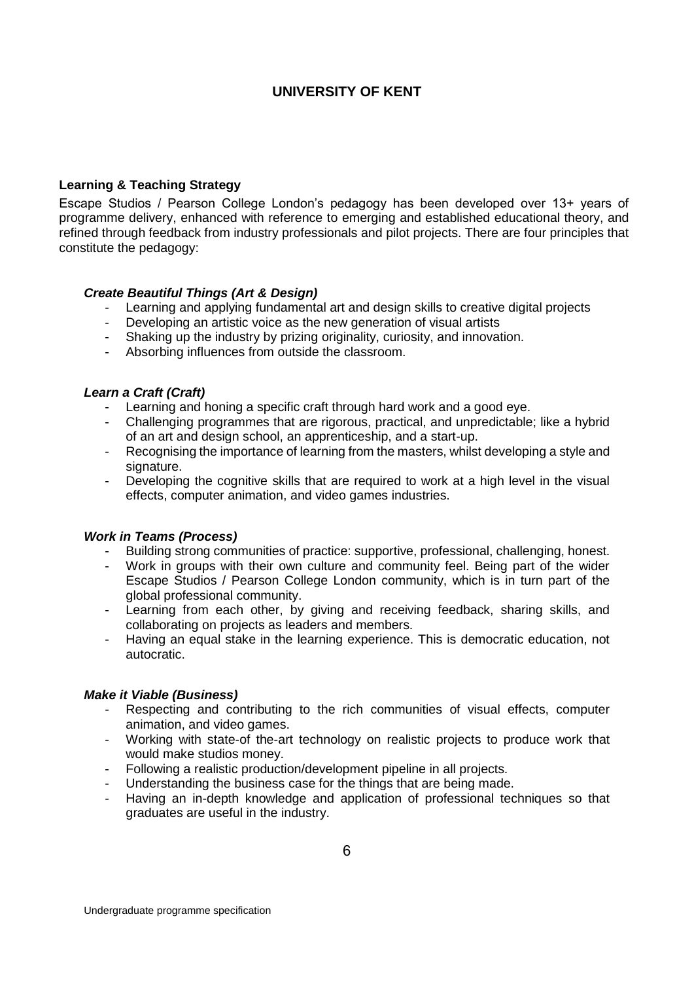#### **Learning & Teaching Strategy**

Escape Studios / Pearson College London's pedagogy has been developed over 13+ years of programme delivery, enhanced with reference to emerging and established educational theory, and refined through feedback from industry professionals and pilot projects. There are four principles that constitute the pedagogy:

### *Create Beautiful Things (Art & Design)*

- Learning and applying fundamental art and design skills to creative digital projects
- Developing an artistic voice as the new generation of visual artists
- Shaking up the industry by prizing originality, curiosity, and innovation.
- Absorbing influences from outside the classroom.

#### *Learn a Craft (Craft)*

- Learning and honing a specific craft through hard work and a good eye.

- Challenging programmes that are rigorous, practical, and unpredictable; like a hybrid of an art and design school, an apprenticeship, and a start-up.
- Recognising the importance of learning from the masters, whilst developing a style and signature.
- Developing the cognitive skills that are required to work at a high level in the visual effects, computer animation, and video games industries.

#### *Work in Teams (Process)*

- Building strong communities of practice: supportive, professional, challenging, honest.
- Work in groups with their own culture and community feel. Being part of the wider Escape Studios / Pearson College London community, which is in turn part of the global professional community.
- Learning from each other, by giving and receiving feedback, sharing skills, and collaborating on projects as leaders and members.
- Having an equal stake in the learning experience. This is democratic education, not autocratic.

### *Make it Viable (Business)*

- Respecting and contributing to the rich communities of visual effects, computer animation, and video games.
- Working with state-of the-art technology on realistic projects to produce work that would make studios money.
- Following a realistic production/development pipeline in all projects.
- Understanding the business case for the things that are being made.
- Having an in-depth knowledge and application of professional techniques so that graduates are useful in the industry.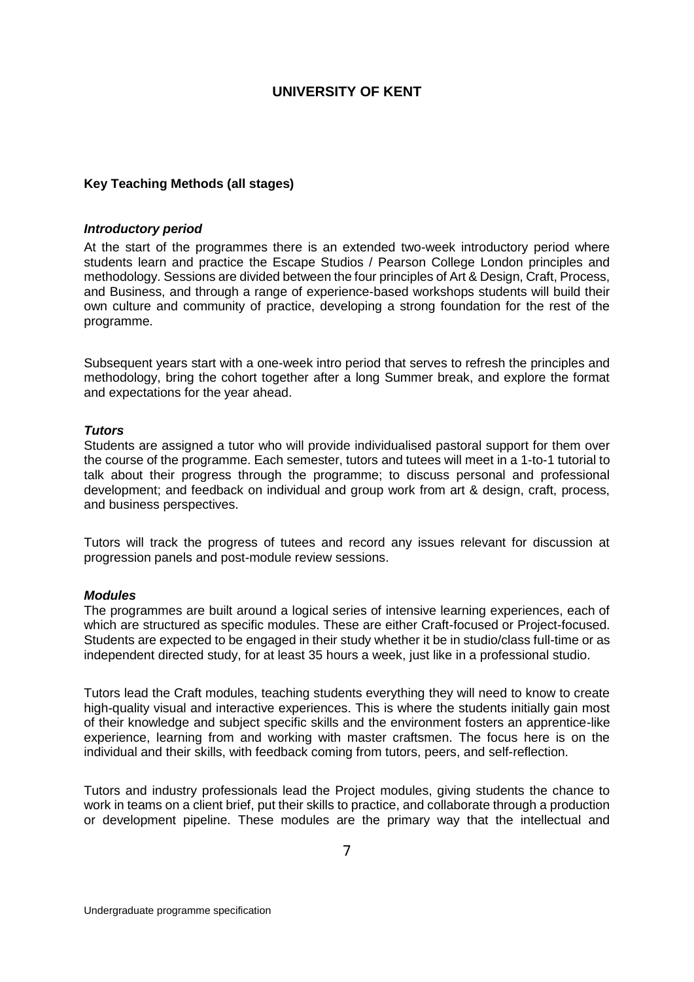### **Key Teaching Methods (all stages)**

#### *Introductory period*

At the start of the programmes there is an extended two-week introductory period where students learn and practice the Escape Studios / Pearson College London principles and methodology. Sessions are divided between the four principles of Art & Design, Craft, Process, and Business, and through a range of experience-based workshops students will build their own culture and community of practice, developing a strong foundation for the rest of the programme.

Subsequent years start with a one-week intro period that serves to refresh the principles and methodology, bring the cohort together after a long Summer break, and explore the format and expectations for the year ahead.

#### *Tutors*

Students are assigned a tutor who will provide individualised pastoral support for them over the course of the programme. Each semester, tutors and tutees will meet in a 1-to-1 tutorial to talk about their progress through the programme; to discuss personal and professional development; and feedback on individual and group work from art & design, craft, process, and business perspectives.

Tutors will track the progress of tutees and record any issues relevant for discussion at progression panels and post-module review sessions.

#### *Modules*

The programmes are built around a logical series of intensive learning experiences, each of which are structured as specific modules. These are either Craft-focused or Project-focused. Students are expected to be engaged in their study whether it be in studio/class full-time or as independent directed study, for at least 35 hours a week, just like in a professional studio.

Tutors lead the Craft modules, teaching students everything they will need to know to create high-quality visual and interactive experiences. This is where the students initially gain most of their knowledge and subject specific skills and the environment fosters an apprentice-like experience, learning from and working with master craftsmen. The focus here is on the individual and their skills, with feedback coming from tutors, peers, and self-reflection.

Tutors and industry professionals lead the Project modules, giving students the chance to work in teams on a client brief, put their skills to practice, and collaborate through a production or development pipeline. These modules are the primary way that the intellectual and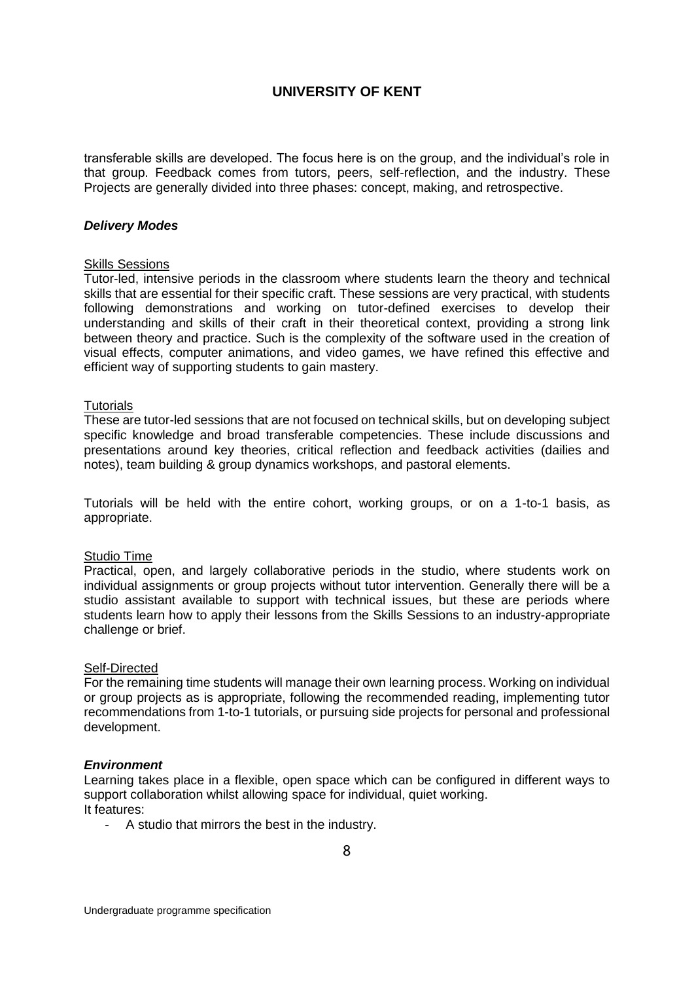transferable skills are developed. The focus here is on the group, and the individual's role in that group. Feedback comes from tutors, peers, self-reflection, and the industry. These Projects are generally divided into three phases: concept, making, and retrospective.

#### *Delivery Modes*

#### Skills Sessions

Tutor-led, intensive periods in the classroom where students learn the theory and technical skills that are essential for their specific craft. These sessions are very practical, with students following demonstrations and working on tutor-defined exercises to develop their understanding and skills of their craft in their theoretical context, providing a strong link between theory and practice. Such is the complexity of the software used in the creation of visual effects, computer animations, and video games, we have refined this effective and efficient way of supporting students to gain mastery.

#### **Tutorials**

These are tutor-led sessions that are not focused on technical skills, but on developing subject specific knowledge and broad transferable competencies. These include discussions and presentations around key theories, critical reflection and feedback activities (dailies and notes), team building & group dynamics workshops, and pastoral elements.

Tutorials will be held with the entire cohort, working groups, or on a 1-to-1 basis, as appropriate.

#### Studio Time

Practical, open, and largely collaborative periods in the studio, where students work on individual assignments or group projects without tutor intervention. Generally there will be a studio assistant available to support with technical issues, but these are periods where students learn how to apply their lessons from the Skills Sessions to an industry-appropriate challenge or brief.

#### Self-Directed

For the remaining time students will manage their own learning process. Working on individual or group projects as is appropriate, following the recommended reading, implementing tutor recommendations from 1-to-1 tutorials, or pursuing side projects for personal and professional development.

#### *Environment*

Learning takes place in a flexible, open space which can be configured in different ways to support collaboration whilst allowing space for individual, quiet working. It features:

- A studio that mirrors the best in the industry.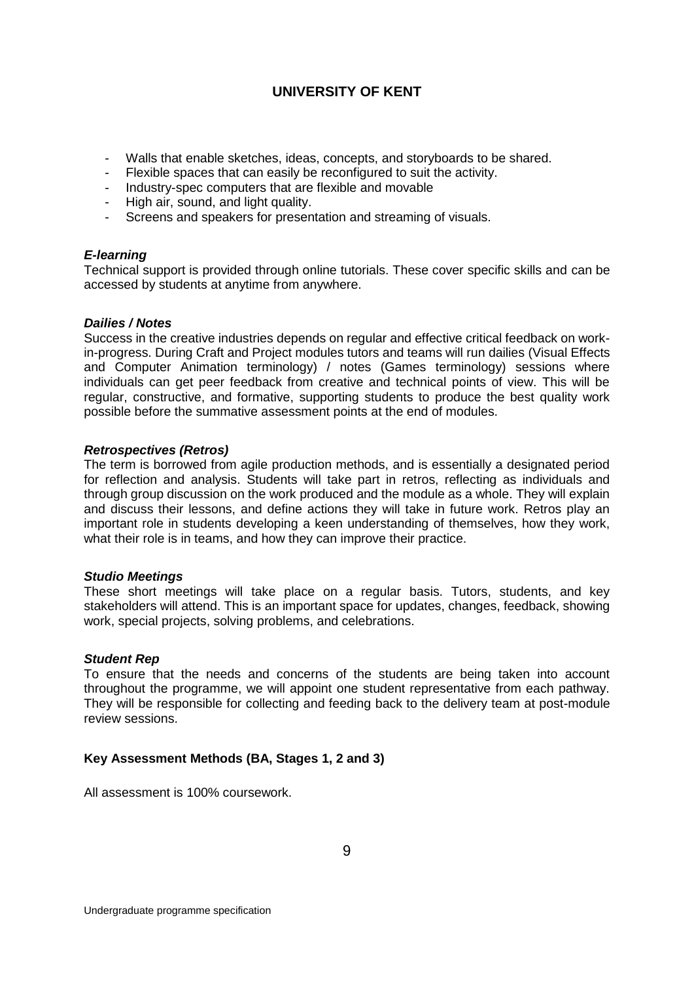- Walls that enable sketches, ideas, concepts, and storyboards to be shared.
- Flexible spaces that can easily be reconfigured to suit the activity.
- Industry-spec computers that are flexible and movable
- High air, sound, and light quality.
- Screens and speakers for presentation and streaming of visuals.

#### *E-learning*

Technical support is provided through online tutorials. These cover specific skills and can be accessed by students at anytime from anywhere.

#### *Dailies / Notes*

Success in the creative industries depends on regular and effective critical feedback on workin-progress. During Craft and Project modules tutors and teams will run dailies (Visual Effects and Computer Animation terminology) / notes (Games terminology) sessions where individuals can get peer feedback from creative and technical points of view. This will be regular, constructive, and formative, supporting students to produce the best quality work possible before the summative assessment points at the end of modules.

#### *Retrospectives (Retros)*

The term is borrowed from agile production methods, and is essentially a designated period for reflection and analysis. Students will take part in retros, reflecting as individuals and through group discussion on the work produced and the module as a whole. They will explain and discuss their lessons, and define actions they will take in future work. Retros play an important role in students developing a keen understanding of themselves, how they work, what their role is in teams, and how they can improve their practice.

#### *Studio Meetings*

These short meetings will take place on a regular basis. Tutors, students, and key stakeholders will attend. This is an important space for updates, changes, feedback, showing work, special projects, solving problems, and celebrations.

#### *Student Rep*

To ensure that the needs and concerns of the students are being taken into account throughout the programme, we will appoint one student representative from each pathway. They will be responsible for collecting and feeding back to the delivery team at post-module review sessions.

### **Key Assessment Methods (BA, Stages 1, 2 and 3)**

All assessment is 100% coursework.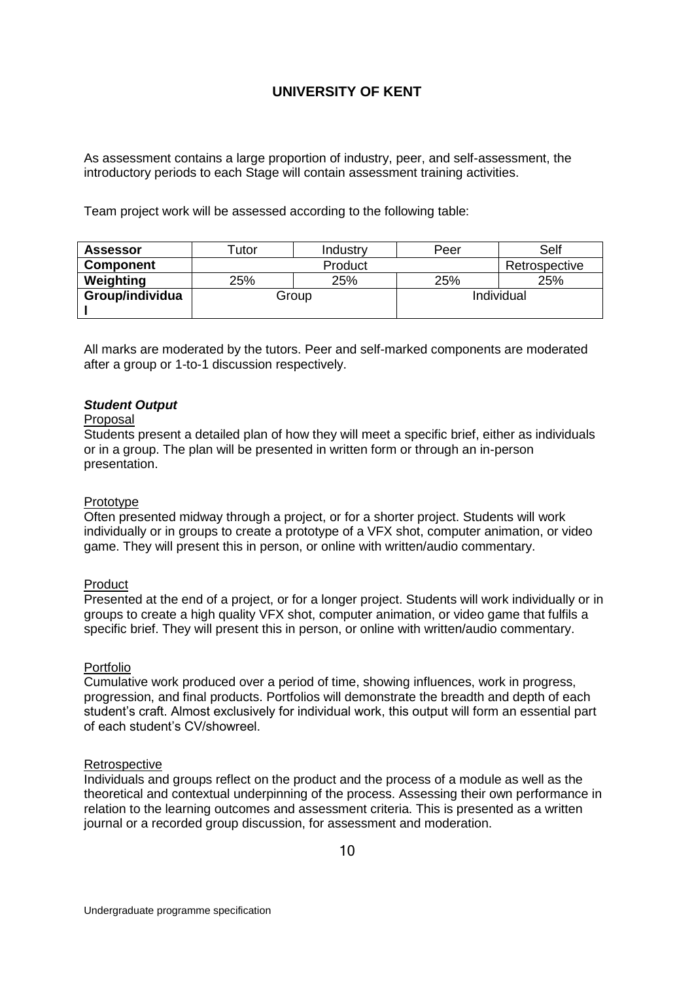As assessment contains a large proportion of industry, peer, and self-assessment, the introductory periods to each Stage will contain assessment training activities.

Team project work will be assessed according to the following table:

| <b>Assessor</b>          | <u>utor</u> | Industry   | Peer | Self          |
|--------------------------|-------------|------------|------|---------------|
| <b>Component</b>         | Product     |            |      | Retrospective |
| Weighting                | 25%         | 25%        | 25%  | 25%           |
| Group/individua<br>Group |             | Individual |      |               |
|                          |             |            |      |               |

All marks are moderated by the tutors. Peer and self-marked components are moderated after a group or 1-to-1 discussion respectively.

#### *Student Output*

#### Proposal

Students present a detailed plan of how they will meet a specific brief, either as individuals or in a group. The plan will be presented in written form or through an in-person presentation.

#### Prototype

Often presented midway through a project, or for a shorter project. Students will work individually or in groups to create a prototype of a VFX shot, computer animation, or video game. They will present this in person, or online with written/audio commentary.

#### Product

Presented at the end of a project, or for a longer project. Students will work individually or in groups to create a high quality VFX shot, computer animation, or video game that fulfils a specific brief. They will present this in person, or online with written/audio commentary.

#### Portfolio

Cumulative work produced over a period of time, showing influences, work in progress, progression, and final products. Portfolios will demonstrate the breadth and depth of each student's craft. Almost exclusively for individual work, this output will form an essential part of each student's CV/showreel.

#### **Retrospective**

Individuals and groups reflect on the product and the process of a module as well as the theoretical and contextual underpinning of the process. Assessing their own performance in relation to the learning outcomes and assessment criteria. This is presented as a written journal or a recorded group discussion, for assessment and moderation.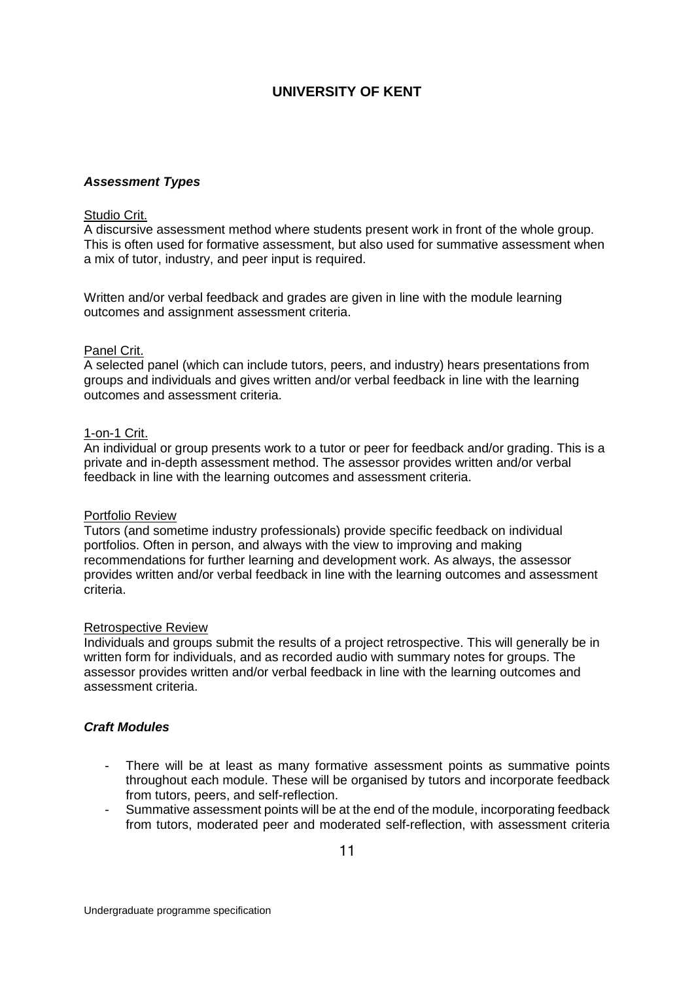#### *Assessment Types*

#### Studio Crit.

A discursive assessment method where students present work in front of the whole group. This is often used for formative assessment, but also used for summative assessment when a mix of tutor, industry, and peer input is required.

Written and/or verbal feedback and grades are given in line with the module learning outcomes and assignment assessment criteria.

#### Panel Crit.

A selected panel (which can include tutors, peers, and industry) hears presentations from groups and individuals and gives written and/or verbal feedback in line with the learning outcomes and assessment criteria.

#### 1-on-1 Crit.

An individual or group presents work to a tutor or peer for feedback and/or grading. This is a private and in-depth assessment method. The assessor provides written and/or verbal feedback in line with the learning outcomes and assessment criteria.

#### Portfolio Review

Tutors (and sometime industry professionals) provide specific feedback on individual portfolios. Often in person, and always with the view to improving and making recommendations for further learning and development work. As always, the assessor provides written and/or verbal feedback in line with the learning outcomes and assessment criteria.

#### Retrospective Review

Individuals and groups submit the results of a project retrospective. This will generally be in written form for individuals, and as recorded audio with summary notes for groups. The assessor provides written and/or verbal feedback in line with the learning outcomes and assessment criteria.

#### *Craft Modules*

- There will be at least as many formative assessment points as summative points throughout each module. These will be organised by tutors and incorporate feedback from tutors, peers, and self-reflection.
- Summative assessment points will be at the end of the module, incorporating feedback from tutors, moderated peer and moderated self-reflection, with assessment criteria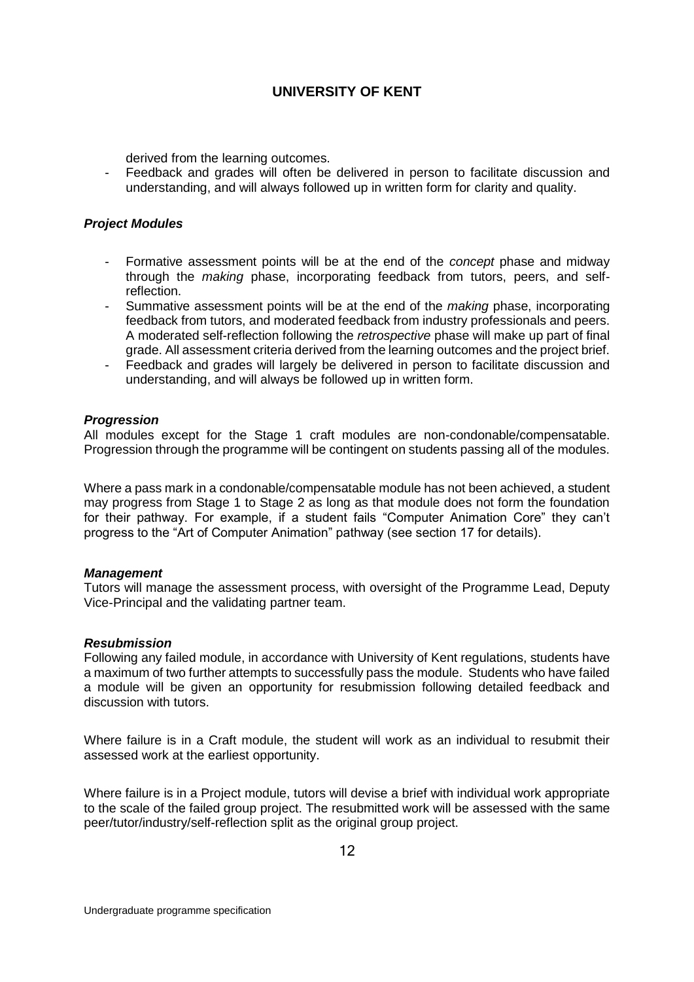derived from the learning outcomes.

- Feedback and grades will often be delivered in person to facilitate discussion and understanding, and will always followed up in written form for clarity and quality.

### *Project Modules*

- Formative assessment points will be at the end of the *concept* phase and midway through the *making* phase, incorporating feedback from tutors, peers, and selfreflection.
- Summative assessment points will be at the end of the *making* phase, incorporating feedback from tutors, and moderated feedback from industry professionals and peers. A moderated self-reflection following the *retrospective* phase will make up part of final grade. All assessment criteria derived from the learning outcomes and the project brief.
- Feedback and grades will largely be delivered in person to facilitate discussion and understanding, and will always be followed up in written form.

#### *Progression*

All modules except for the Stage 1 craft modules are non-condonable/compensatable. Progression through the programme will be contingent on students passing all of the modules.

Where a pass mark in a condonable/compensatable module has not been achieved, a student may progress from Stage 1 to Stage 2 as long as that module does not form the foundation for their pathway. For example, if a student fails "Computer Animation Core" they can't progress to the "Art of Computer Animation" pathway (see section 17 for details).

#### *Management*

Tutors will manage the assessment process, with oversight of the Programme Lead, Deputy Vice-Principal and the validating partner team.

#### *Resubmission*

Following any failed module, in accordance with University of Kent regulations, students have a maximum of two further attempts to successfully pass the module. Students who have failed a module will be given an opportunity for resubmission following detailed feedback and discussion with tutors.

Where failure is in a Craft module, the student will work as an individual to resubmit their assessed work at the earliest opportunity.

Where failure is in a Project module, tutors will devise a brief with individual work appropriate to the scale of the failed group project. The resubmitted work will be assessed with the same peer/tutor/industry/self-reflection split as the original group project.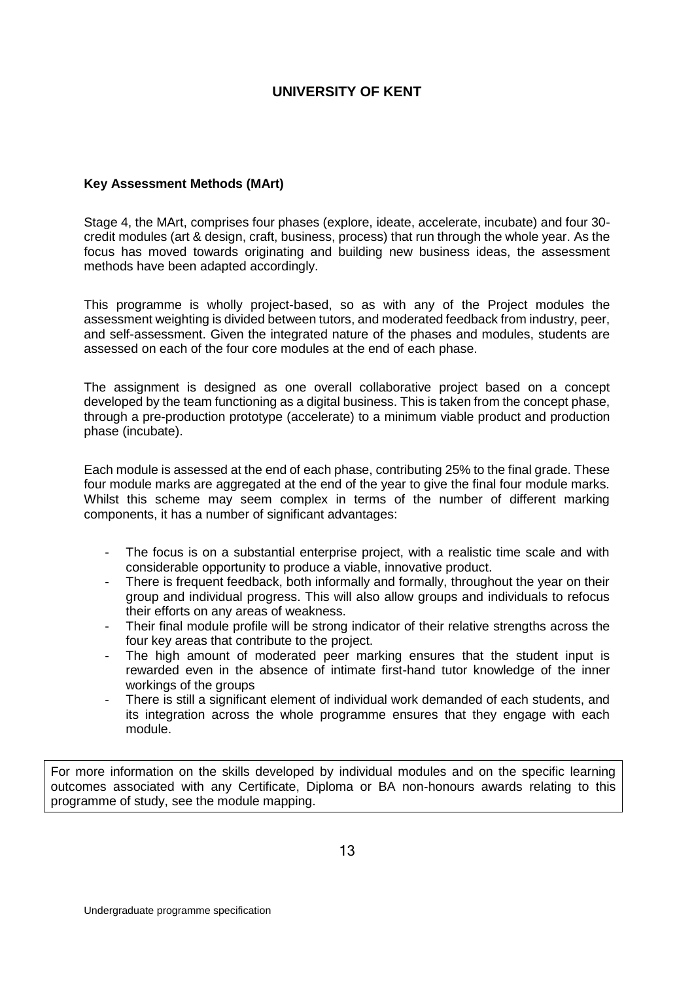### **Key Assessment Methods (MArt)**

Stage 4, the MArt, comprises four phases (explore, ideate, accelerate, incubate) and four 30 credit modules (art & design, craft, business, process) that run through the whole year. As the focus has moved towards originating and building new business ideas, the assessment methods have been adapted accordingly.

This programme is wholly project-based, so as with any of the Project modules the assessment weighting is divided between tutors, and moderated feedback from industry, peer, and self-assessment. Given the integrated nature of the phases and modules, students are assessed on each of the four core modules at the end of each phase.

The assignment is designed as one overall collaborative project based on a concept developed by the team functioning as a digital business. This is taken from the concept phase, through a pre-production prototype (accelerate) to a minimum viable product and production phase (incubate).

Each module is assessed at the end of each phase, contributing 25% to the final grade. These four module marks are aggregated at the end of the year to give the final four module marks. Whilst this scheme may seem complex in terms of the number of different marking components, it has a number of significant advantages:

- The focus is on a substantial enterprise project, with a realistic time scale and with considerable opportunity to produce a viable, innovative product.
- There is frequent feedback, both informally and formally, throughout the year on their group and individual progress. This will also allow groups and individuals to refocus their efforts on any areas of weakness.
- Their final module profile will be strong indicator of their relative strengths across the four key areas that contribute to the project.
- The high amount of moderated peer marking ensures that the student input is rewarded even in the absence of intimate first-hand tutor knowledge of the inner workings of the groups
- There is still a significant element of individual work demanded of each students, and its integration across the whole programme ensures that they engage with each module.

For more information on the skills developed by individual modules and on the specific learning outcomes associated with any Certificate, Diploma or BA non-honours awards relating to this programme of study, see the module mapping.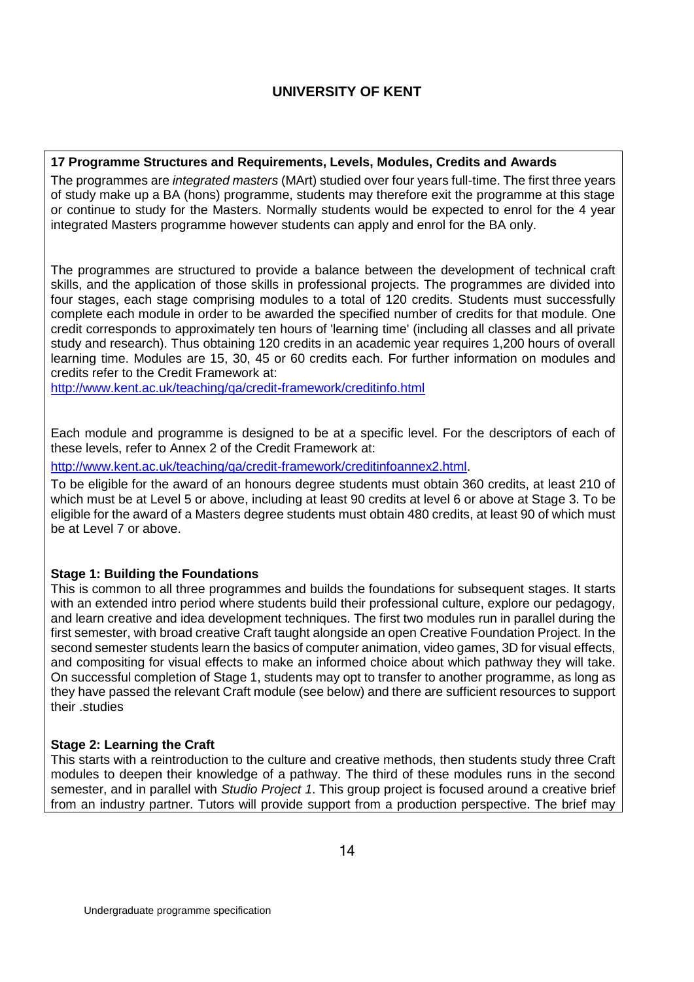### **17 Programme Structures and Requirements, Levels, Modules, Credits and Awards**

The programmes are *integrated masters* (MArt) studied over four years full-time. The first three years of study make up a BA (hons) programme, students may therefore exit the programme at this stage or continue to study for the Masters. Normally students would be expected to enrol for the 4 year integrated Masters programme however students can apply and enrol for the BA only.

The programmes are structured to provide a balance between the development of technical craft skills, and the application of those skills in professional projects. The programmes are divided into four stages, each stage comprising modules to a total of 120 credits. Students must successfully complete each module in order to be awarded the specified number of credits for that module. One credit corresponds to approximately ten hours of 'learning time' (including all classes and all private study and research). Thus obtaining 120 credits in an academic year requires 1,200 hours of overall learning time. Modules are 15, 30, 45 or 60 credits each. For further information on modules and credits refer to the Credit Framework at:

<http://www.kent.ac.uk/teaching/qa/credit-framework/creditinfo.html>

Each module and programme is designed to be at a specific level. For the descriptors of each of these levels, refer to Annex 2 of the Credit Framework at:

[http://www.kent.ac.uk/teaching/qa/credit-framework/creditinfoannex2.html.](http://www.kent.ac.uk/teaching/qa/credit-framework/creditinfoannex2.html)

To be eligible for the award of an honours degree students must obtain 360 credits, at least 210 of which must be at Level 5 or above, including at least 90 credits at level 6 or above at Stage 3. To be eligible for the award of a Masters degree students must obtain 480 credits, at least 90 of which must be at Level 7 or above.

### **Stage 1: Building the Foundations**

This is common to all three programmes and builds the foundations for subsequent stages. It starts with an extended intro period where students build their professional culture, explore our pedagogy, and learn creative and idea development techniques. The first two modules run in parallel during the first semester, with broad creative Craft taught alongside an open Creative Foundation Project. In the second semester students learn the basics of computer animation, video games, 3D for visual effects, and compositing for visual effects to make an informed choice about which pathway they will take. On successful completion of Stage 1, students may opt to transfer to another programme, as long as they have passed the relevant Craft module (see below) and there are sufficient resources to support their .studies

### **Stage 2: Learning the Craft**

This starts with a reintroduction to the culture and creative methods, then students study three Craft modules to deepen their knowledge of a pathway. The third of these modules runs in the second semester, and in parallel with *Studio Project 1*. This group project is focused around a creative brief from an industry partner. Tutors will provide support from a production perspective. The brief may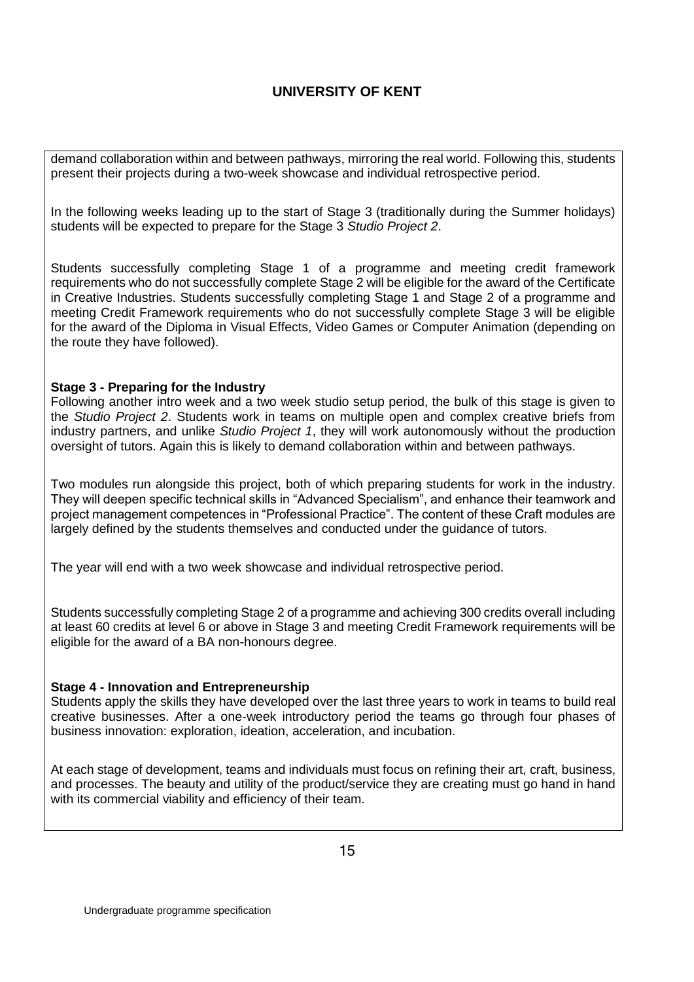demand collaboration within and between pathways, mirroring the real world. Following this, students present their projects during a two-week showcase and individual retrospective period.

In the following weeks leading up to the start of Stage 3 (traditionally during the Summer holidays) students will be expected to prepare for the Stage 3 *Studio Project 2*.

Students successfully completing Stage 1 of a programme and meeting credit framework requirements who do not successfully complete Stage 2 will be eligible for the award of the Certificate in Creative Industries. Students successfully completing Stage 1 and Stage 2 of a programme and meeting Credit Framework requirements who do not successfully complete Stage 3 will be eligible for the award of the Diploma in Visual Effects, Video Games or Computer Animation (depending on the route they have followed).

### **Stage 3 - Preparing for the Industry**

Following another intro week and a two week studio setup period, the bulk of this stage is given to the *Studio Project 2*. Students work in teams on multiple open and complex creative briefs from industry partners, and unlike *Studio Project 1*, they will work autonomously without the production oversight of tutors. Again this is likely to demand collaboration within and between pathways.

Two modules run alongside this project, both of which preparing students for work in the industry. They will deepen specific technical skills in "Advanced Specialism", and enhance their teamwork and project management competences in "Professional Practice". The content of these Craft modules are largely defined by the students themselves and conducted under the guidance of tutors.

The year will end with a two week showcase and individual retrospective period.

Students successfully completing Stage 2 of a programme and achieving 300 credits overall including at least 60 credits at level 6 or above in Stage 3 and meeting Credit Framework requirements will be eligible for the award of a BA non-honours degree.

#### **Stage 4 - Innovation and Entrepreneurship**

Students apply the skills they have developed over the last three years to work in teams to build real creative businesses. After a one-week introductory period the teams go through four phases of business innovation: exploration, ideation, acceleration, and incubation.

At each stage of development, teams and individuals must focus on refining their art, craft, business, and processes. The beauty and utility of the product/service they are creating must go hand in hand with its commercial viability and efficiency of their team.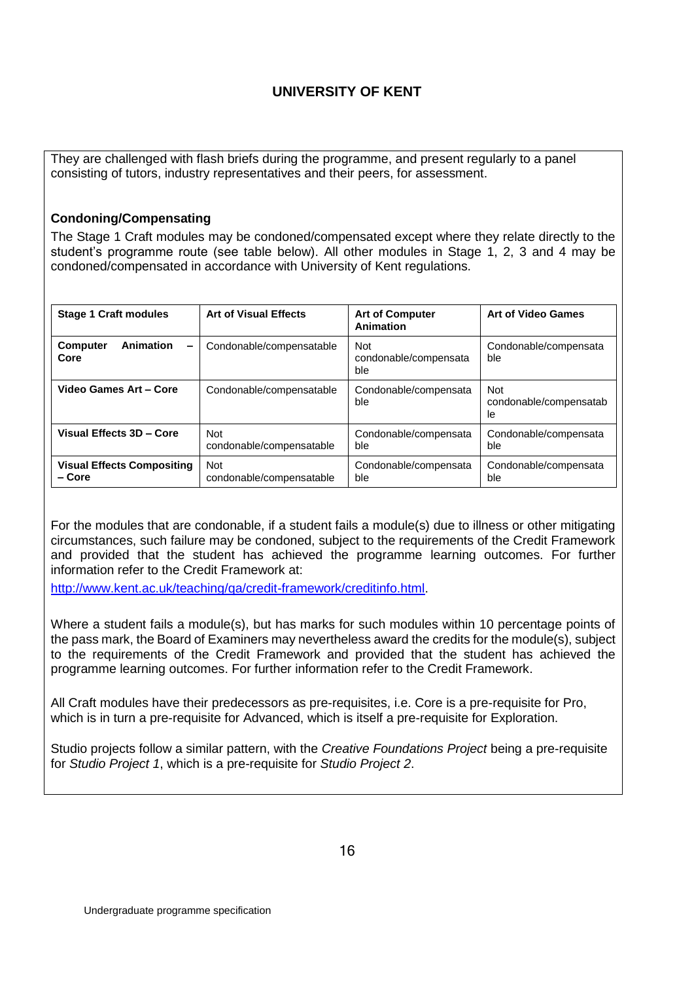They are challenged with flash briefs during the programme, and present regularly to a panel consisting of tutors, industry representatives and their peers, for assessment.

### **Condoning/Compensating**

The Stage 1 Craft modules may be condoned/compensated except where they relate directly to the student's programme route (see table below). All other modules in Stage 1, 2, 3 and 4 may be condoned/compensated in accordance with University of Kent regulations.

| <b>Stage 1 Craft modules</b>                | <b>Art of Visual Effects</b>           | <b>Art of Computer</b><br>Animation        | <b>Art of Video Games</b>                   |  |
|---------------------------------------------|----------------------------------------|--------------------------------------------|---------------------------------------------|--|
| Animation<br><b>Computer</b><br>-<br>Core   | Condonable/compensatable               | <b>Not</b><br>condonable/compensata<br>ble | Condonable/compensata<br>ble                |  |
| Video Games Art - Core                      | Condonable/compensatable               | Condonable/compensata<br>ble               | <b>Not</b><br>condonable/compensatab<br>le. |  |
| Visual Effects 3D - Core                    | <b>Not</b><br>condonable/compensatable | Condonable/compensata<br>ble               | Condonable/compensata<br>ble                |  |
| <b>Visual Effects Compositing</b><br>– Core | <b>Not</b><br>condonable/compensatable | Condonable/compensata<br>ble               | Condonable/compensata<br>ble                |  |

For the modules that are condonable, if a student fails a module(s) due to illness or other mitigating circumstances, such failure may be condoned, subject to the requirements of the Credit Framework and provided that the student has achieved the programme learning outcomes. For further information refer to the Credit Framework at:

[http://www.kent.ac.uk/teaching/qa/credit-framework/creditinfo.html.](http://www.kent.ac.uk/teaching/qa/credit-framework/creditinfo.html)

Where a student fails a module(s), but has marks for such modules within 10 percentage points of the pass mark, the Board of Examiners may nevertheless award the credits for the module(s), subject to the requirements of the Credit Framework and provided that the student has achieved the programme learning outcomes. For further information refer to the Credit Framework.

All Craft modules have their predecessors as pre-requisites, i.e. Core is a pre-requisite for Pro, which is in turn a pre-requisite for Advanced, which is itself a pre-requisite for Exploration.

Studio projects follow a similar pattern, with the *Creative Foundations Project* being a pre-requisite for *Studio Project 1*, which is a pre-requisite for *Studio Project 2*.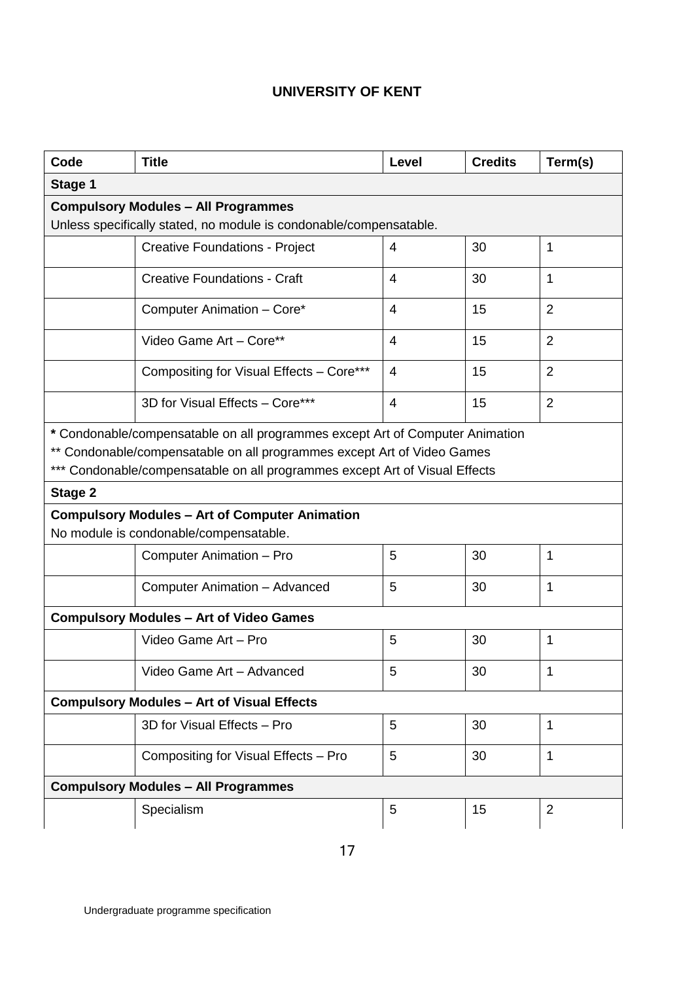| Code                                                                                                                                                                                                                                    | <b>Title</b>                                                       | Level          | <b>Credits</b> | Term(s)        |  |
|-----------------------------------------------------------------------------------------------------------------------------------------------------------------------------------------------------------------------------------------|--------------------------------------------------------------------|----------------|----------------|----------------|--|
| Stage 1                                                                                                                                                                                                                                 |                                                                    |                |                |                |  |
| <b>Compulsory Modules - All Programmes</b>                                                                                                                                                                                              |                                                                    |                |                |                |  |
|                                                                                                                                                                                                                                         | Unless specifically stated, no module is condonable/compensatable. |                |                |                |  |
|                                                                                                                                                                                                                                         | <b>Creative Foundations - Project</b>                              | 4              | 30             | 1              |  |
|                                                                                                                                                                                                                                         | <b>Creative Foundations - Craft</b>                                | 4              | 30             | 1              |  |
|                                                                                                                                                                                                                                         | Computer Animation - Core*                                         | 4              | 15             | $\overline{2}$ |  |
|                                                                                                                                                                                                                                         | Video Game Art - Core**                                            | 4              | 15             | $\overline{2}$ |  |
|                                                                                                                                                                                                                                         | Compositing for Visual Effects - Core***                           | $\overline{4}$ | 15             | $\overline{2}$ |  |
|                                                                                                                                                                                                                                         | 3D for Visual Effects - Core***                                    | $\overline{4}$ | 15             | $\overline{2}$ |  |
| * Condonable/compensatable on all programmes except Art of Computer Animation<br>** Condonable/compensatable on all programmes except Art of Video Games<br>*** Condonable/compensatable on all programmes except Art of Visual Effects |                                                                    |                |                |                |  |
| Stage 2                                                                                                                                                                                                                                 |                                                                    |                |                |                |  |
| <b>Compulsory Modules - Art of Computer Animation</b><br>No module is condonable/compensatable.                                                                                                                                         |                                                                    |                |                |                |  |
|                                                                                                                                                                                                                                         | 1<br>Computer Animation - Pro<br>5<br>30                           |                |                |                |  |
|                                                                                                                                                                                                                                         | Computer Animation - Advanced                                      | 5              | 30             | 1              |  |
| <b>Compulsory Modules - Art of Video Games</b>                                                                                                                                                                                          |                                                                    |                |                |                |  |
|                                                                                                                                                                                                                                         | Video Game Art - Pro                                               | 5              | 30             | $\mathbf{1}$   |  |
|                                                                                                                                                                                                                                         | Video Game Art - Advanced                                          | 5              | 30             | $\mathbf{1}$   |  |
| <b>Compulsory Modules - Art of Visual Effects</b>                                                                                                                                                                                       |                                                                    |                |                |                |  |
|                                                                                                                                                                                                                                         | 3D for Visual Effects - Pro                                        | 5              | 30             | 1              |  |
|                                                                                                                                                                                                                                         | Compositing for Visual Effects - Pro                               | 5              | 30             | $\mathbf{1}$   |  |
| <b>Compulsory Modules - All Programmes</b>                                                                                                                                                                                              |                                                                    |                |                |                |  |
|                                                                                                                                                                                                                                         | Specialism                                                         | 5              | 15             | $\overline{2}$ |  |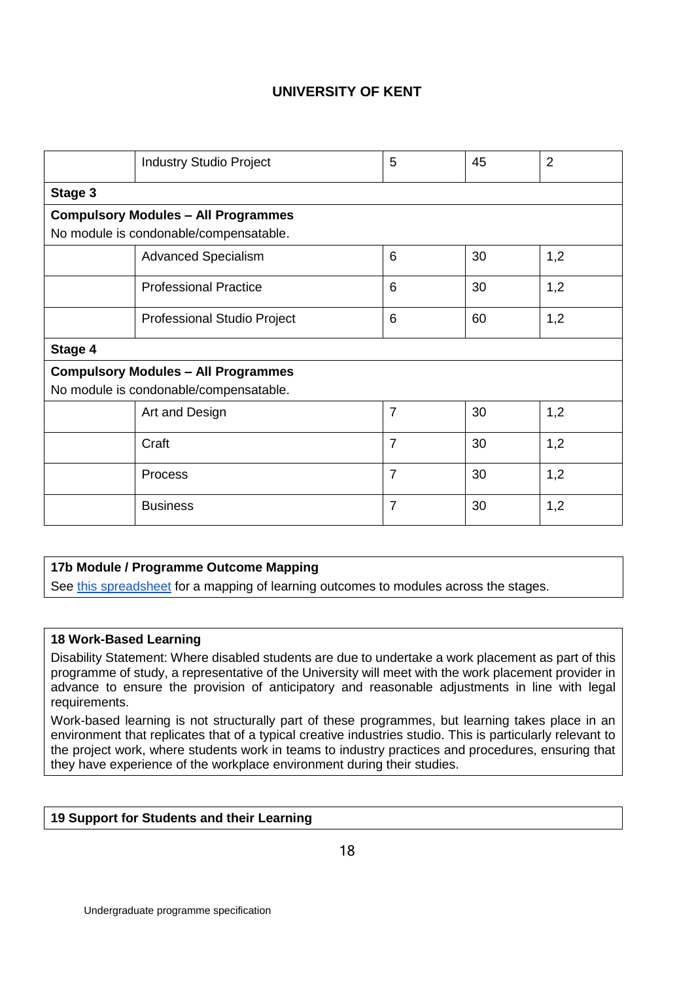|                                            | <b>Industry Studio Project</b> | 5              | 45 | $\overline{2}$ |  |
|--------------------------------------------|--------------------------------|----------------|----|----------------|--|
| Stage 3                                    |                                |                |    |                |  |
| <b>Compulsory Modules - All Programmes</b> |                                |                |    |                |  |
| No module is condonable/compensatable.     |                                |                |    |                |  |
|                                            | <b>Advanced Specialism</b>     | 6              | 30 | 1,2            |  |
|                                            | <b>Professional Practice</b>   | 6              | 30 | 1,2            |  |
|                                            | Professional Studio Project    | 6              | 60 | 1,2            |  |
| Stage 4                                    |                                |                |    |                |  |
| <b>Compulsory Modules - All Programmes</b> |                                |                |    |                |  |
| No module is condonable/compensatable.     |                                |                |    |                |  |
|                                            | Art and Design                 | $\overline{7}$ | 30 | 1,2            |  |
|                                            | Craft                          | $\overline{7}$ | 30 | 1,2            |  |
|                                            | Process                        | $\overline{7}$ | 30 | 1,2            |  |
|                                            | <b>Business</b>                | 7              | 30 | 1,2            |  |

### **17b Module / Programme Outcome Mapping**

See [this spreadsheet](https://docs.google.com/a/pearson.com/spreadsheets/d/1DTX8U9TMqyOiIOzQkQfyHXA1qeW2TjYLlR_wptUfRVs/edit?usp=sharing) for a mapping of learning outcomes to modules across the stages.

### **18 Work-Based Learning**

Disability Statement: Where disabled students are due to undertake a work placement as part of this programme of study, a representative of the University will meet with the work placement provider in advance to ensure the provision of anticipatory and reasonable adjustments in line with legal requirements.

Work-based learning is not structurally part of these programmes, but learning takes place in an environment that replicates that of a typical creative industries studio. This is particularly relevant to the project work, where students work in teams to industry practices and procedures, ensuring that they have experience of the workplace environment during their studies.

### **19 Support for Students and their Learning**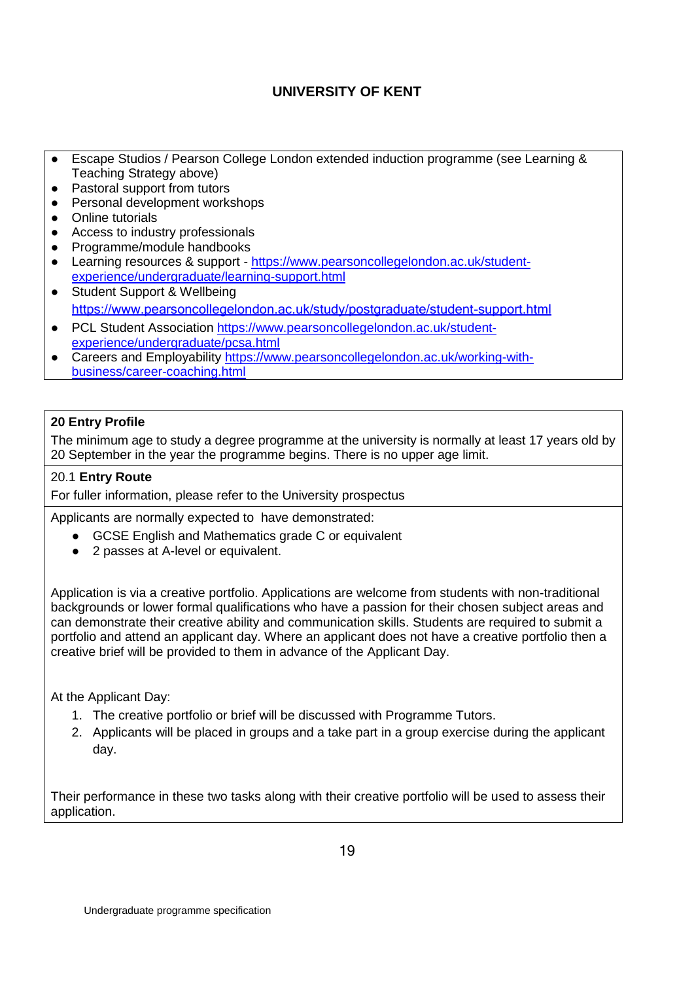- Escape Studios / Pearson College London extended induction programme (see Learning & Teaching Strategy above)
- Pastoral support from tutors
- Personal development workshops
- Online tutorials
- Access to industry professionals
- Programme/module handbooks
- Learning resources & support [https://www.pearsoncollegelondon.ac.uk/student](https://www.pearsoncollegelondon.ac.uk/student-experience/undergraduate/learning-support.html)[experience/undergraduate/learning-support.html](https://www.pearsoncollegelondon.ac.uk/student-experience/undergraduate/learning-support.html)
- Student Support & Wellbeing <https://www.pearsoncollegelondon.ac.uk/study/postgraduate/student-support.html>
- PCL Student Association [https://www.pearsoncollegelondon.ac.uk/student](https://www.pearsoncollegelondon.ac.uk/student-experience/undergraduate/pcsa.html)[experience/undergraduate/pcsa.html](https://www.pearsoncollegelondon.ac.uk/student-experience/undergraduate/pcsa.html)
- Careers and Employability [https://www.pearsoncollegelondon.ac.uk/working-with](https://www.pearsoncollegelondon.ac.uk/working-with-business/career-coaching.html)[business/career-coaching.html](https://www.pearsoncollegelondon.ac.uk/working-with-business/career-coaching.html)

## **20 Entry Profile**

The minimum age to study a degree programme at the university is normally at least 17 years old by 20 September in the year the programme begins. There is no upper age limit.

### 20.1 **Entry Route**

For fuller information, please refer to the University prospectus

Applicants are normally expected to have demonstrated:

- GCSE English and Mathematics grade C or equivalent
- 2 passes at A-level or equivalent.

Application is via a creative portfolio. Applications are welcome from students with non-traditional backgrounds or lower formal qualifications who have a passion for their chosen subject areas and can demonstrate their creative ability and communication skills. Students are required to submit a portfolio and attend an applicant day. Where an applicant does not have a creative portfolio then a creative brief will be provided to them in advance of the Applicant Day.

At the Applicant Day:

- 1. The creative portfolio or brief will be discussed with Programme Tutors.
- 2. Applicants will be placed in groups and a take part in a group exercise during the applicant day.

Their performance in these two tasks along with their creative portfolio will be used to assess their application.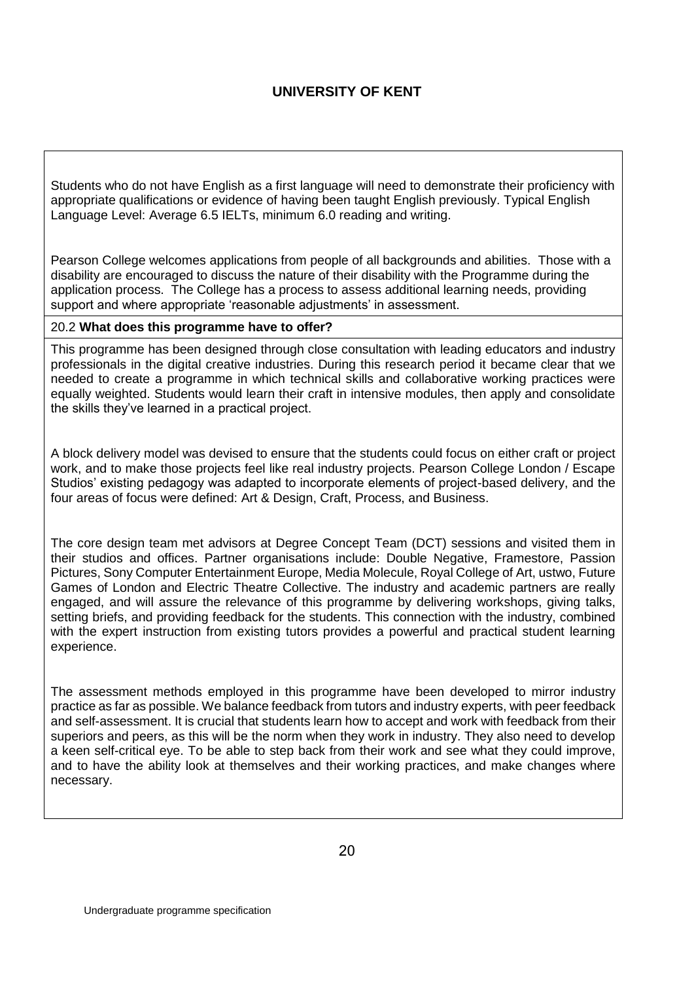Students who do not have English as a first language will need to demonstrate their proficiency with appropriate qualifications or evidence of having been taught English previously. Typical English Language Level: Average 6.5 IELTs, minimum 6.0 reading and writing.

Pearson College welcomes applications from people of all backgrounds and abilities. Those with a disability are encouraged to discuss the nature of their disability with the Programme during the application process. The College has a process to assess additional learning needs, providing support and where appropriate 'reasonable adjustments' in assessment.

### 20.2 **What does this programme have to offer?**

This programme has been designed through close consultation with leading educators and industry professionals in the digital creative industries. During this research period it became clear that we needed to create a programme in which technical skills and collaborative working practices were equally weighted. Students would learn their craft in intensive modules, then apply and consolidate the skills they've learned in a practical project.

A block delivery model was devised to ensure that the students could focus on either craft or project work, and to make those projects feel like real industry projects. Pearson College London / Escape Studios' existing pedagogy was adapted to incorporate elements of project-based delivery, and the four areas of focus were defined: Art & Design, Craft, Process, and Business.

The core design team met advisors at Degree Concept Team (DCT) sessions and visited them in their studios and offices. Partner organisations include: Double Negative, Framestore, Passion Pictures, Sony Computer Entertainment Europe, Media Molecule, Royal College of Art, ustwo, Future Games of London and Electric Theatre Collective. The industry and academic partners are really engaged, and will assure the relevance of this programme by delivering workshops, giving talks, setting briefs, and providing feedback for the students. This connection with the industry, combined with the expert instruction from existing tutors provides a powerful and practical student learning experience.

The assessment methods employed in this programme have been developed to mirror industry practice as far as possible. We balance feedback from tutors and industry experts, with peer feedback and self-assessment. It is crucial that students learn how to accept and work with feedback from their superiors and peers, as this will be the norm when they work in industry. They also need to develop a keen self-critical eye. To be able to step back from their work and see what they could improve, and to have the ability look at themselves and their working practices, and make changes where necessary.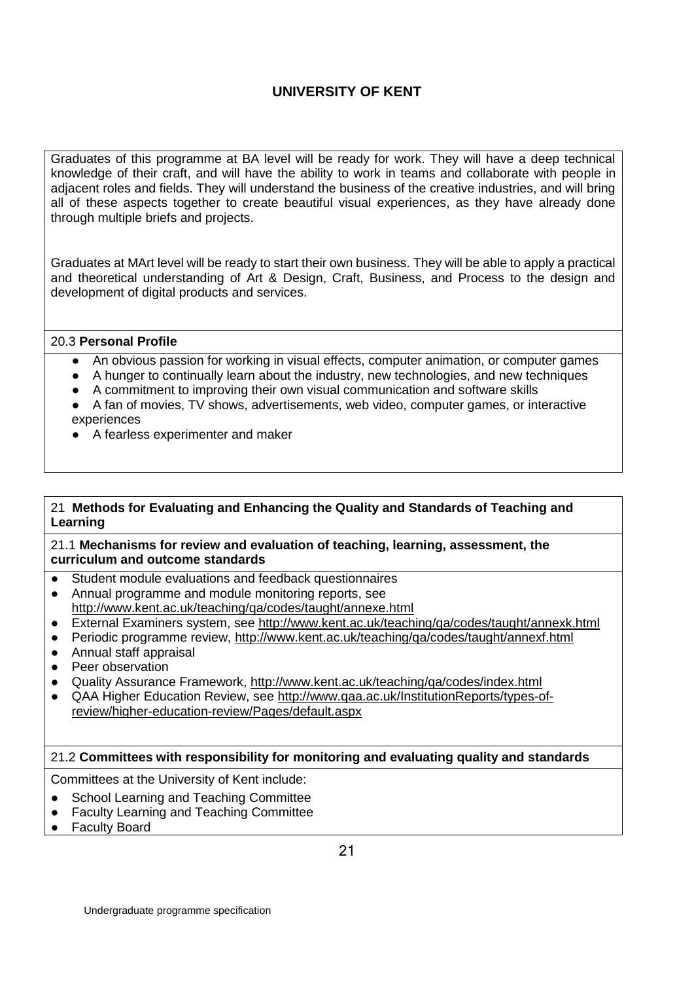Graduates of this programme at BA level will be ready for work. They will have a deep technical knowledge of their craft, and will have the ability to work in teams and collaborate with people in adjacent roles and fields. They will understand the business of the creative industries, and will bring all of these aspects together to create beautiful visual experiences, as they have already done through multiple briefs and projects.

Graduates at MArt level will be ready to start their own business. They will be able to apply a practical and theoretical understanding of Art & Design, Craft, Business, and Process to the design and development of digital products and services.

#### 20.3 **Personal Profile**

- An obvious passion for working in visual effects, computer animation, or computer games
- A hunger to continually learn about the industry, new technologies, and new techniques
- A commitment to improving their own visual communication and software skills
- A fan of movies, TV shows, advertisements, web video, computer games, or interactive experiences
- A fearless experimenter and maker

### 21 **Methods for Evaluating and Enhancing the Quality and Standards of Teaching and Learning**

21.1 **Mechanisms for review and evaluation of teaching, learning, assessment, the curriculum and outcome standards**

- Student module evaluations and feedback questionnaires
- Annual programme and module monitoring reports, see <http://www.kent.ac.uk/teaching/qa/codes/taught/annexe.html>
- External Examiners system, see<http://www.kent.ac.uk/teaching/qa/codes/taught/annexk.html>
- Periodic programme review,<http://www.kent.ac.uk/teaching/qa/codes/taught/annexf.html>
- Annual staff appraisal
- Peer observation
- Quality Assurance Framework,<http://www.kent.ac.uk/teaching/qa/codes/index.html>
- QAA Higher Education Review, see [http://www.qaa.ac.uk/InstitutionReports/types-of](http://www.qaa.ac.uk/InstitutionReports/types-of-review/higher-education-review/Pages/default.aspx)[review/higher-education-review/Pages/default.aspx](http://www.qaa.ac.uk/InstitutionReports/types-of-review/higher-education-review/Pages/default.aspx)

### 21.2 **Committees with responsibility for monitoring and evaluating quality and standards**

Committees at the University of Kent include:

- School Learning and Teaching Committee
- Faculty Learning and Teaching Committee
- Faculty Board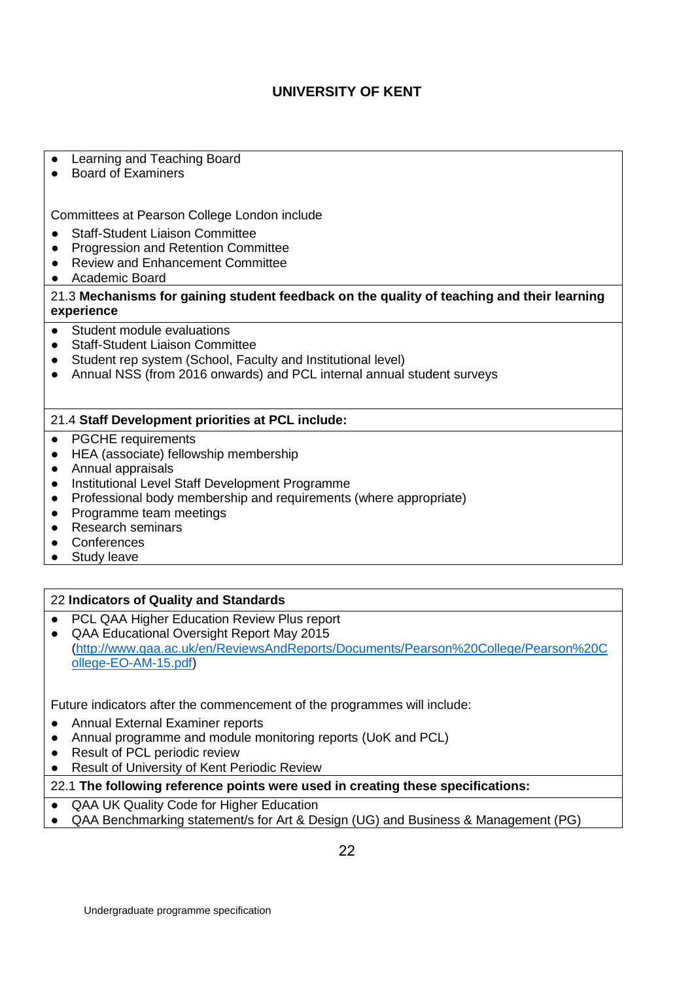● Learning and Teaching Board

● Board of Examiners

Committees at Pearson College London include

- Staff-Student Liaison Committee
- Progression and Retention Committee
- Review and Enhancement Committee
- Academic Board

21.3 **Mechanisms for gaining student feedback on the quality of teaching and their learning experience**

- Student module evaluations
- Staff-Student Liaison Committee
- Student rep system (School, Faculty and Institutional level)
- Annual NSS (from 2016 onwards) and PCL internal annual student surveys

#### 21.4 **Staff Development priorities at PCL include:**

- PGCHE requirements
- HEA (associate) fellowship membership
- Annual appraisals
- Institutional Level Staff Development Programme
- Professional body membership and requirements (where appropriate)
- Programme team meetings
- Research seminars
- Conferences
- Study leave

### 22 **Indicators of Quality and Standards**

- PCL QAA Higher Education Review Plus report
- QAA Educational Oversight Report May 2015 [\(http://www.qaa.ac.uk/en/ReviewsAndReports/Documents/Pearson%20College/Pearson%20C](http://www.qaa.ac.uk/en/ReviewsAndReports/Documents/Pearson%20College/Pearson%20College-EO-AM-15.pdf) [ollege-EO-AM-15.pdf\)](http://www.qaa.ac.uk/en/ReviewsAndReports/Documents/Pearson%20College/Pearson%20College-EO-AM-15.pdf)

Future indicators after the commencement of the programmes will include:

- Annual External Examiner reports
- Annual programme and module monitoring reports (UoK and PCL)
- Result of PCL periodic review
- Result of University of Kent Periodic Review
- 22.1 **The following reference points were used in creating these specifications:**
- QAA UK Quality Code for Higher Education
- QAA Benchmarking statement/s for Art & Design (UG) and Business & Management (PG)